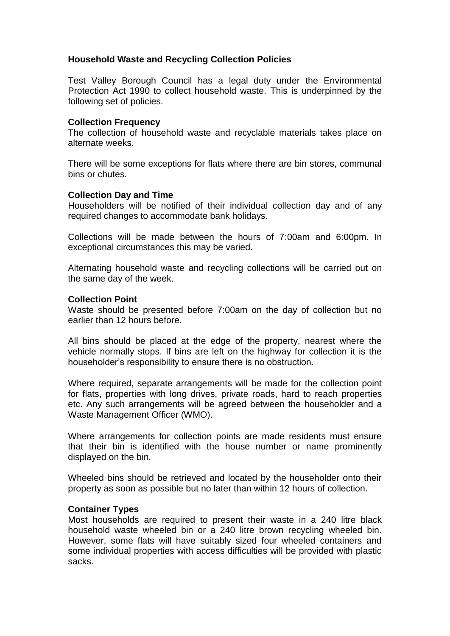# **Household Waste and Recycling Collection Policies**

Test Valley Borough Council has a legal duty under the Environmental Protection Act 1990 to collect household waste. This is underpinned by the following set of policies.

# **Collection Frequency**

The collection of household waste and recyclable materials takes place on alternate weeks.

There will be some exceptions for flats where there are bin stores, communal bins or chutes.

# **Collection Day and Time**

Householders will be notified of their individual collection day and of any required changes to accommodate bank holidays.

Collections will be made between the hours of 7:00am and 6:00pm. In exceptional circumstances this may be varied.

Alternating household waste and recycling collections will be carried out on the same day of the week.

## **Collection Point**

Waste should be presented before 7:00am on the day of collection but no earlier than 12 hours before.

All bins should be placed at the edge of the property, nearest where the vehicle normally stops. If bins are left on the highway for collection it is the householder's responsibility to ensure there is no obstruction.

Where required, separate arrangements will be made for the collection point for flats, properties with long drives, private roads, hard to reach properties etc. Any such arrangements will be agreed between the householder and a Waste Management Officer (WMO).

Where arrangements for collection points are made residents must ensure that their bin is identified with the house number or name prominently displayed on the bin.

Wheeled bins should be retrieved and located by the householder onto their property as soon as possible but no later than within 12 hours of collection.

## **Container Types**

Most households are required to present their waste in a 240 litre black household waste wheeled bin or a 240 litre brown recycling wheeled bin. However, some flats will have suitably sized four wheeled containers and some individual properties with access difficulties will be provided with plastic sacks.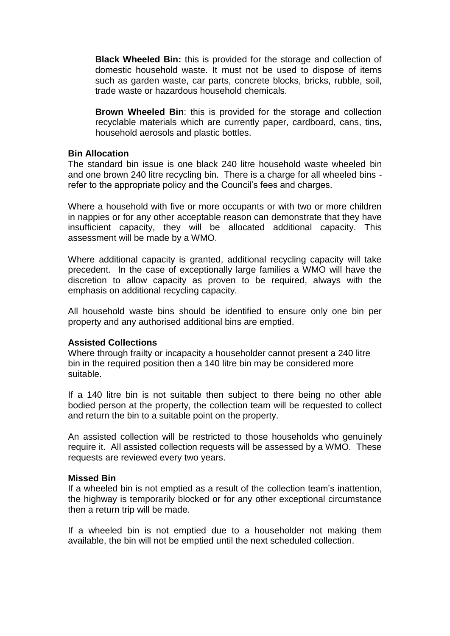**Black Wheeled Bin:** this is provided for the storage and collection of domestic household waste. It must not be used to dispose of items such as garden waste, car parts, concrete blocks, bricks, rubble, soil, trade waste or hazardous household chemicals.

**Brown Wheeled Bin**: this is provided for the storage and collection recyclable materials which are currently paper, cardboard, cans, tins, household aerosols and plastic bottles.

## **Bin Allocation**

The standard bin issue is one black 240 litre household waste wheeled bin and one brown 240 litre recycling bin. There is a charge for all wheeled bins refer to the appropriate policy and the Council's fees and charges.

Where a household with five or more occupants or with two or more children in nappies or for any other acceptable reason can demonstrate that they have insufficient capacity, they will be allocated additional capacity. This assessment will be made by a WMO.

Where additional capacity is granted, additional recycling capacity will take precedent. In the case of exceptionally large families a WMO will have the discretion to allow capacity as proven to be required, always with the emphasis on additional recycling capacity.

All household waste bins should be identified to ensure only one bin per property and any authorised additional bins are emptied.

## **Assisted Collections**

Where through frailty or incapacity a householder cannot present a 240 litre bin in the required position then a 140 litre bin may be considered more suitable.

If a 140 litre bin is not suitable then subject to there being no other able bodied person at the property, the collection team will be requested to collect and return the bin to a suitable point on the property.

An assisted collection will be restricted to those households who genuinely require it. All assisted collection requests will be assessed by a WMO. These requests are reviewed every two years.

#### **Missed Bin**

If a wheeled bin is not emptied as a result of the collection team's inattention, the highway is temporarily blocked or for any other exceptional circumstance then a return trip will be made.

If a wheeled bin is not emptied due to a householder not making them available, the bin will not be emptied until the next scheduled collection.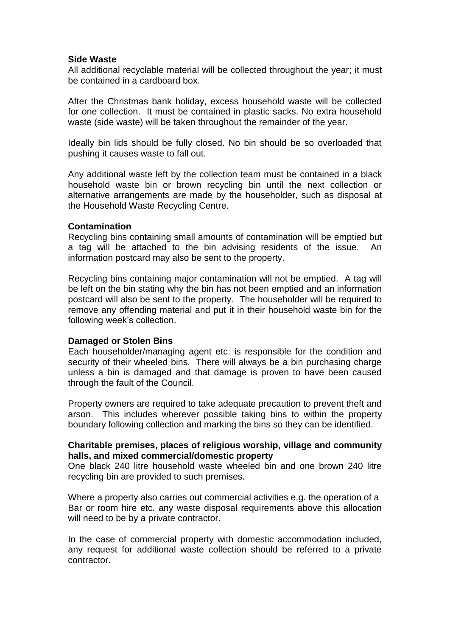# **Side Waste**

All additional recyclable material will be collected throughout the year; it must be contained in a cardboard box.

After the Christmas bank holiday, excess household waste will be collected for one collection. It must be contained in plastic sacks. No extra household waste (side waste) will be taken throughout the remainder of the year.

Ideally bin lids should be fully closed. No bin should be so overloaded that pushing it causes waste to fall out.

Any additional waste left by the collection team must be contained in a black household waste bin or brown recycling bin until the next collection or alternative arrangements are made by the householder, such as disposal at the Household Waste Recycling Centre.

# **Contamination**

Recycling bins containing small amounts of contamination will be emptied but a tag will be attached to the bin advising residents of the issue. An information postcard may also be sent to the property.

Recycling bins containing major contamination will not be emptied. A tag will be left on the bin stating why the bin has not been emptied and an information postcard will also be sent to the property. The householder will be required to remove any offending material and put it in their household waste bin for the following week's collection.

# **Damaged or Stolen Bins**

Each householder/managing agent etc. is responsible for the condition and security of their wheeled bins. There will always be a bin purchasing charge unless a bin is damaged and that damage is proven to have been caused through the fault of the Council.

Property owners are required to take adequate precaution to prevent theft and arson. This includes wherever possible taking bins to within the property boundary following collection and marking the bins so they can be identified.

# **Charitable premises, places of religious worship, village and community halls, and mixed commercial/domestic property**

One black 240 litre household waste wheeled bin and one brown 240 litre recycling bin are provided to such premises.

Where a property also carries out commercial activities e.g. the operation of a Bar or room hire etc. any waste disposal requirements above this allocation will need to be by a private contractor.

In the case of commercial property with domestic accommodation included, any request for additional waste collection should be referred to a private contractor.